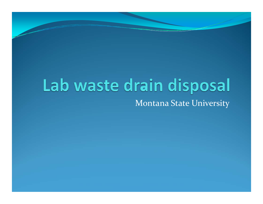#### Lab waste drain disposal Montana State University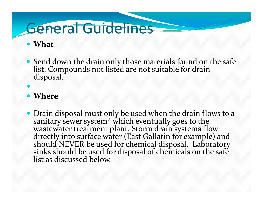### General Guidelines

#### y **What**

y Send down the drain only those materials found on the safe list. Compounds not listed are not suitable for drain disposal.

• Where

 $\bullet$ 

• Drain disposal must only be used when the drain flows to a sanitary sewer system<sup>\*</sup> which eventually goes to the wastewater treatment plant. Storm drain systems flow directly into surface water (East Gallatin for example) and should NEVER be used for chemical disposal. Laboratory<br>sinks should be used for disposal of chemicals on the safe sinks should be used for disposal of chemicals on the safe<br>list as discussed below. t as discussed below.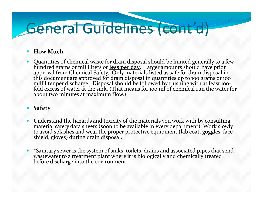# General Guidelines (cont'd)

#### $\bullet$ **How Much**

 $\bullet$  Quantities of chemical waste for drain disposal should be limited generally to <sup>a</sup> few hundred grams or milliliters or **less per day**. Larger amounts should have prior approval from Chemical Safety. Only materials listed as safe for drain disposal in<br>this document are approved for drain disposal in quantities up to 100 grams or 100 this document are approved for drain disposal in quantities up to 100 grams or 100<br>milliliter per discharge.Disposal should be followed by flushing with at least 100milliliter per discharge. Disposal should be followed by flushing with at least 100-<br>fold excess of water at the sink. (That means for 100 ml of chemical run the water for about two minutes at maximum flow.)

#### **•** Safety

- $\bullet$  Understand the hazards and toxicity of the materials you work with by consulting materialmaterial safety data sheets (soon to be available in every department). Work slowly to avoid splashes and wear the proper protective equipment (lab coat, goggles, face<br>shield, gloves) during drain disposal.
- $\bullet$  \*Sanitary sewer is the system of sinks, toilets, drains and associated pipes that send wastewater to a treatment plant where it is biologically and chemically treated<br>before discharge into the environment. before discharge into the environment.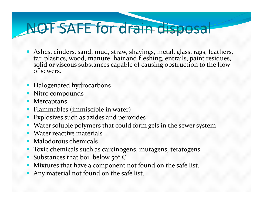# NOT SAFE for drain disposal

- Ashes, cinders, sand, mud, straw, shavings, metal, glass, rags, feathers, tar, plastics, wood, manure, hair and fleshing, entrails, paint residues, solid or viscous substances capable of causing obstruction to the flow of sewers.
- Halogenated hydrocarbons
- Nitro compounds
- Mercaptans
- Flammables (immiscible in water)
- Explosives such as azides and peroxides
- Water soluble polymers that could form gels in the sewer system
- Water reactive materials
- Malodorous chemicals
- Toxic chemicals such as carcinogens, mutagens, teratogens
- Substances that boil below 50° C.
- Mixtures that have a component not found on the safe list.
- Any material not found on the safe list.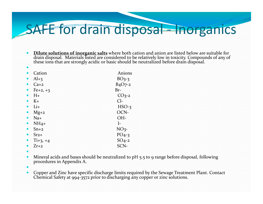#### SAFE for drain disposal – norganics

- $\bullet$  **Dilute solutions of inorganic salts** where both cation and anion are listed below are suitable for draindrain disposal. Materials listed are considered to be relatively low in toxicity. Compounds of any of<br>these ions that are strongly acidic or basic should be neutralized before drain disposal. these ions that are strongly acidic or basic should be neutralized before drain disposal.
- $\bullet$  $\bullet$  Cation Anions  $\bullet$  $Al+3$   $BO3-3$  $\bullet$  $Ca+2$   $B_4O_7-2$  $\bullet$ Fe $+2$ ,  $+3$  Br- $\bullet$  $H<sub>+</sub>$  CO<sub>3</sub>-2  $\bullet$  $\bullet$  K+  $\phantom{a}$  Cl- $\bullet$  $Li+$  HSO-3  $\bullet$  $\bullet$  Mg+2  $OCN$  $\bullet$  $\bullet$  Na+  $OH$  $\bullet$  $NH_4+$  I–  $\bullet$ •  $Sn+2$   $NO<sub>3</sub>$  $\bullet$  $Sr<sub>2+</sub>$  PO<sub>4</sub>-3  $\bullet$  $Ti+3, +4$   $SO<sub>4</sub>-2$  $\bullet$  $\bullet$   $Zr+2$  SCN-
- $\bullet$
- $\bullet$ • Mineral acids and bases should be neutralized to pH 5.5 to 9 range before disposal, following procedures in Appendix A.
- $\blacksquare$
- $\bullet$ Copper and Zinc have specific discharge limits required by the Sewage Treatment Plant. Contact Chemical Safety at 994-3572 prior to discharging any copper or zinc solutions.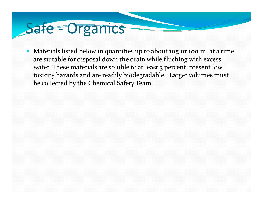### Safe – Organics

y Materials listed below in quantities up to about **10g or <sup>100</sup>** ml at <sup>a</sup> time are suitable for disposal down the drain while flushing with excess water. These materials are soluble to at least 3 percent; presen<sup>t</sup> low toxicity hazards and are readily biodegradable. Larger volumes must be collected by the Chemical Safety Team.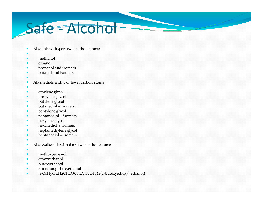#### Safe - Alcohol

- $\bullet$ • Alkanols with 4 or fewer carbon atoms:
- $\bullet$
- $\bullet$ methanol
- $\bullet$ ethanol
- $\bullet$ propanol and isomers
- $\bullet$ • butanol and isomers
- $\bullet$
- $\bullet$ • Alkanediols with 7 or fewer carbon atoms
- $\bullet$
- $\bullet$ ethylene glycol
- $\bullet$ propylene glycol
- $\bullet$ butylene glycol
- $\bullet$ butanediol <sup>+</sup> isomers
- $\bullet$ pentylene glycol
- $\bullet$ pentanediol <sup>+</sup> isomers
- $\bullet$ hexylene glycol
- $\bullet$ hexanediol <sup>+</sup> isomers
- $\bullet$ heptamethylene glycol
- $\bullet$ heptanediol <sup>+</sup> isomers
- $\bullet$
- $\bullet$ Alkoxyalkanols with 6 or fewer carbon atoms:
- $\bullet$
- $\bullet$ methoxyethanol
- $\bullet$ ethoxyethanol
- $\bullet$ butoxyethanol
- $\bullet$ <sup>2</sup>‐methoxyethoxyethanol
- $\bullet$ <sup>n</sup>‐C4H9OCH2CH2OCH2CH2OH (2(2‐butoxyethoxy) ethanol)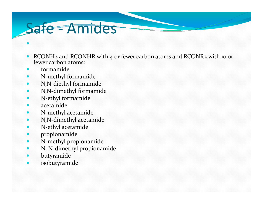#### Safe - Amides

- $\bullet$ • RCONH2 and RCONHR with 4 or fewer carbon atoms and RCONR2 with 10 or fewer carbon atoms:
- $\bullet$ formamide

 $\bullet$ 

- $\bullet$ N‐methyl formamide
- $\bullet$ N,N‐diethyl formamide
- $\bullet$ N,N‐dimethyl formamide
- $\bullet$ N‐ethyl formamide
- $\bullet$ acetamide
- $\bullet$ N‐methyl acetamide
- $\bullet$ N,N‐dimethyl acetamide
- $\bullet$ N‐ethyl acetamide
- $\bullet$ propionamide
- $\bullet$ N‐methyl propionamide
- $\bullet$ N, N‐dimethyl propionamide
- $\bullet$ butyramide
- $\bullet$ isobutyramide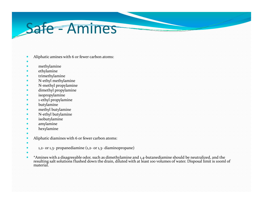#### Safe ‐ Amines

- $\bullet$ Aliphatic amines with 6 or fewer carbon atoms:
- $\bullet$
- $\bullet$ methylamine
- $\bullet$ ethylamine
- $\bullet$ trimethylamine
- $\bullet$ N‐ethyl methylamine
- $\bullet$ N‐methyl propylamine
- $\bullet$ dimethyl propylamine
- $\bullet$ isopropylamine
- $\bullet$ <sup>1</sup>‐ethyl propylamine
- $\bullet$ butylamine
- $\bullet$ methyl butylamine
- $\bullet$ N‐ethyl butylamine
- $\bullet$ isobutylamine
- $\bullet$ amylamine
- $\bullet$ hexylamine
- $\bullet$
- $\bullet$ Aliphatic diamines with 6 or fewer carbon atoms:
- $\bullet$
- $\bullet$ 1,2- or 1,3- propanediamine  $(1,2-$  or 1,3- diaminopropane)
- $\bullet$
- y• \*Amines with a disagreeable odor, such as dimethylamine and 1,4-butanediamine should be neutralized, and the<br>resulting salt solutions flushed down the drain, diluted with at least 100 volumes of water. Disposal limit is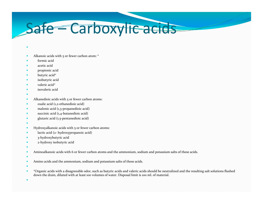### Safe – Carboxylic acids

- $\bullet$
- y• Alkanoic acids with 5 or fewer carbon atom: \*
- $\bullet$ formic acid
- $\bullet$ acetic acid
- $\bullet$ propionic acid
- $\bullet$ butyric acid\*
- $\bullet$ isobutyric acid
- $\bullet$ valeric acid\*
- $\bullet$ isovaleric acid
- $\bullet$
- × • Alkanedioic acids with 5 or fewer carbon atoms:
- $\bullet$ ● oxalic acid (1,2-ethanedioic acid)
- $\bullet$ ● malonic acid (1,3-propanedioic acid)
- $\bullet$ ● succinic acid (1,4-butanedioic acid)
- $\bullet$ glutaric acid (1,5‐pentanedioic acid)
- $\bullet$
- **y** Hydroxyalkanoic acids with 5 or fewer carbon atoms:
- $\bullet$ lactic acid (2‐ hydroxypropanoic acid)
- $\bullet$ 3‐hydroxybutyric acid
- $\bullet$ <sup>2</sup>‐hydroxy isobutyric acid
- $\bullet$
- $\bullet$ Aminoalkanoic acids with 6 or fewer carbon atoms and the ammonium, sodium and potassium salts of these acids.
- $\bullet$
- **y** Amino acids and the ammonium, sodium and potassium salts of these acids.
- $\bullet$
- × \*Organic acids with <sup>a</sup> disagreeable odor, such as butyric acids and valeric acids should be neutralized and the resulting salt solutions flushed down the drain, diluted with at least <sup>100</sup> volumes of water. Disposal limit is <sup>100</sup> ml. of material.
- ×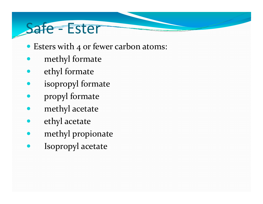#### Safe - Ester

- Esters with 4 or fewer carbon atoms:
- methyl formate
- ethyl formate
- isopropyl formate
- propyl formate
- methyl acetate
- ethyl acetate
- methyl propionate
- Isopropyl acetate